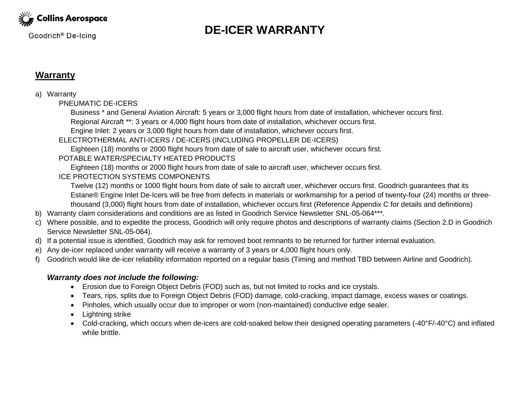

Goodrich<sup>®</sup> De-Icing

# **DE-ICER WARRANTY**

### **Warranty**

#### a) Warranty

PNEUMATIC DE-ICERS

Business \* and General Aviation Aircraft: 5 years or 3,000 flight hours from date of installation, whichever occurs first.

Regional Aircraft \*\*: 3 years or 4,000 flight hours from date of installation, whichever occurs first.

Engine Inlet: 2 years or 3,000 flight hours from date of installation, whichever occurs first.

ELECTROTHERMAL ANTI-ICERS / DE-ICERS (INCLUDING PROPELLER DE-ICERS)

Eighteen (18) months or 2000 flight hours from date of sale to aircraft user, whichever occurs first.

#### POTABLE WATER/SPECIALTY HEATED PRODUCTS

Eighteen (18) months or 2000 flight hours from date of sale to aircraft user, whichever occurs first.

#### ICE PROTECTION SYSTEMS COMPONENTS

Twelve (12) months or 1000 flight hours from date of sale to aircraft user, whichever occurs first. Goodrich guarantees that its Estane® Engine Inlet De-Icers will be free from defects in materials or workmanship for a period of twenty-four (24) months or threethousand (3,000) flight hours from date of installation, whichever occurs first (Reference Appendix C for details and definitions)

- b) Warranty claim considerations and conditions are as listed in Goodrich Service Newsletter SNL-05-064\*\*\*.
- c) Where possible, and to expedite the process, Goodrich will only require photos and descriptions of warranty claims (Section 2.D in Goodrich Service Newsletter SNL-05-064).
- d) If a potential issue is identified, Goodrich may ask for removed boot remnants to be returned for further internal evaluation.
- e) Any de-icer replaced under warranty will receive a warranty of 3 years or 4,000 flight hours only.
- f) Goodrich would like de-icer reliability information reported on a regular basis (Timing and method TBD between Airline and Goodrich).

#### *Warranty does not include the following:*

- Erosion due to Foreign Object Debris (FOD) such as, but not limited to rocks and ice crystals.
- Tears, rips, splits due to Foreign Object Debris (FOD) damage, cold-cracking, impact damage, excess waxes or coatings.
- Pinholes, which usually occur due to improper or worn (non-maintained) conductive edge sealer.
- Lightning strike
- Cold-cracking, which occurs when de-icers are cold-soaked below their designed operating parameters (-40°F/-40°C) and inflated while brittle.